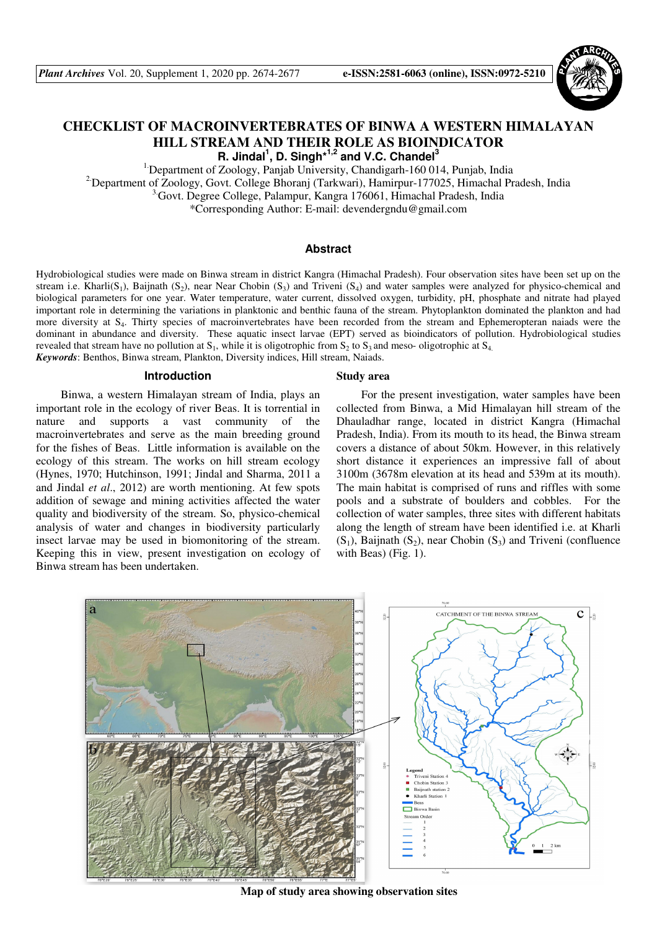

# **CHECKLIST OF MACROINVERTEBRATES OF BINWA A WESTERN HIMALAYAN HILL STREAM AND THEIR ROLE AS BIOINDICATOR**

**R. Jindal<sup>1</sup> , D. Singh\*1,2 and V.C. Chandel<sup>3</sup>**

<sup>1</sup>: Department of Zoology, Panjab University, Chandigarh-160 014, Punjab, India <sup>2</sup>Department of Zoology, Govt. College Bhoranj (Tarkwari), Hamirpur-177025, Himachal Pradesh, India <sup>3.</sup>Govt. Degree College, Palampur, Kangra 176061, Himachal Pradesh, India \*Corresponding Author: E-mail: devendergndu@gmail.com

## **Abstract**

Hydrobiological studies were made on Binwa stream in district Kangra (Himachal Pradesh). Four observation sites have been set up on the stream i.e. Kharli(S<sub>1</sub>), Baijnath (S<sub>2</sub>), near Near Chobin (S<sub>3</sub>) and Triveni (S<sub>4</sub>) and water samples were analyzed for physico-chemical and biological parameters for one year. Water temperature, water current, dissolved oxygen, turbidity, pH, phosphate and nitrate had played important role in determining the variations in planktonic and benthic fauna of the stream. Phytoplankton dominated the plankton and had more diversity at S<sub>4</sub>. Thirty species of macroinvertebrates have been recorded from the stream and Ephemeropteran naiads were the dominant in abundance and diversity. These aquatic insect larvae (EPT) served as bioindicators of pollution. Hydrobiological studies revealed that stream have no pollution at  $S_1$ , while it is oligotrophic from  $S_2$  to  $S_3$  and meso- oligotrophic at  $S_4$ . *Keywords*: Benthos, Binwa stream, Plankton, Diversity indices, Hill stream, Naiads.

#### **Introduction**

Binwa, a western Himalayan stream of India, plays an important role in the ecology of river Beas. It is torrential in nature and supports a vast community of the macroinvertebrates and serve as the main breeding ground for the fishes of Beas. Little information is available on the ecology of this stream. The works on hill stream ecology (Hynes, 1970; Hutchinson, 1991; Jindal and Sharma, 2011 a and Jindal *et al*., 2012) are worth mentioning. At few spots addition of sewage and mining activities affected the water quality and biodiversity of the stream. So, physico-chemical analysis of water and changes in biodiversity particularly insect larvae may be used in biomonitoring of the stream. Keeping this in view, present investigation on ecology of Binwa stream has been undertaken.

### **Study area**

For the present investigation, water samples have been collected from Binwa, a Mid Himalayan hill stream of the Dhauladhar range, located in district Kangra (Himachal Pradesh, India). From its mouth to its head, the Binwa stream covers a distance of about 50km. However, in this relatively short distance it experiences an impressive fall of about 3100m (3678m elevation at its head and 539m at its mouth). The main habitat is comprised of runs and riffles with some pools and a substrate of boulders and cobbles. For the collection of water samples, three sites with different habitats along the length of stream have been identified i.e. at Kharli  $(S_1)$ , Baijnath  $(S_2)$ , near Chobin  $(S_3)$  and Triveni (confluence with Beas) (Fig. 1).



**Map of study area showing observation sites**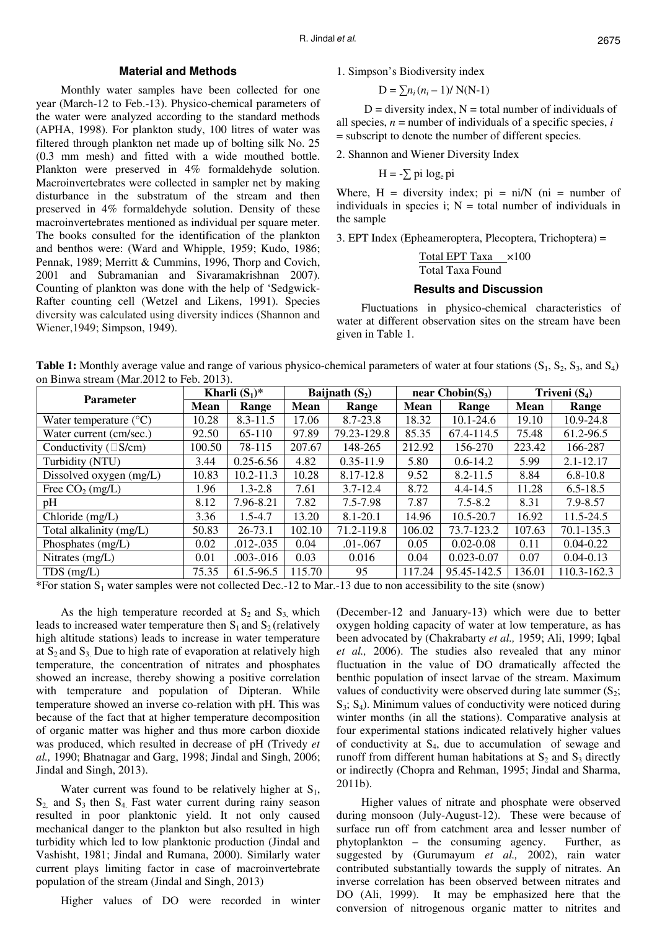## **Material and Methods**

Monthly water samples have been collected for one year (March-12 to Feb.-13). Physico-chemical parameters of the water were analyzed according to the standard methods (APHA, 1998). For plankton study, 100 litres of water was filtered through plankton net made up of bolting silk No. 25 (0.3 mm mesh) and fitted with a wide mouthed bottle. Plankton were preserved in 4% formaldehyde solution. Macroinvertebrates were collected in sampler net by making disturbance in the substratum of the stream and then preserved in 4% formaldehyde solution. Density of these macroinvertebrates mentioned as individual per square meter. The books consulted for the identification of the plankton and benthos were: (Ward and Whipple, 1959; Kudo, 1986; Pennak, 1989; Merritt & Cummins, 1996, Thorp and Covich, 2001 and Subramanian and Sivaramakrishnan 2007). Counting of plankton was done with the help of 'Sedgwick-Rafter counting cell (Wetzel and Likens, 1991). Species diversity was calculated using diversity indices (Shannon and Wiener,1949; Simpson, 1949).

1. Simpson's Biodiversity index

$$
D = \sum n_i (n_i - 1) / N(N-1)
$$

 $D =$  diversity index,  $N =$  total number of individuals of all species, *n* = number of individuals of a specific species, *i* = subscript to denote the number of different species.

2. Shannon and Wiener Diversity Index

$$
H = -\sum \pi i \log_e \pi i
$$

Where,  $H =$  diversity index;  $pi = ni/N$  (ni = number of individuals in species i;  $N =$  total number of individuals in the sample

3. EPT Index (Epheameroptera, Plecoptera, Trichoptera) =

Total EPT Taxa ×100 Total Taxa Found

### **Results and Discussion**

Fluctuations in physico-chemical characteristics of water at different observation sites on the stream have been given in Table 1.

**Table 1:** Monthly average value and range of various physico-chemical parameters of water at four stations (S<sub>1</sub>, S<sub>2</sub>, S<sub>3</sub>, and S<sub>4</sub>) on Binwa stream (Mar.2012 to Feb. 2013).

| <b>Parameter</b>                | Kharli $(S_1)^*$ |               | Baijnath $(S_2)$ |               | near Chobin( $S_3$ ) |                | Triveni $(S_4)$ |               |
|---------------------------------|------------------|---------------|------------------|---------------|----------------------|----------------|-----------------|---------------|
|                                 | <b>Mean</b>      | Range         | <b>Mean</b>      | Range         | <b>Mean</b>          | Range          | <b>Mean</b>     | Range         |
| Water temperature $(^{\circ}C)$ | 10.28            | $8.3 - 11.5$  | 17.06            | 8.7-23.8      | 18.32                | $10.1 - 24.6$  | 19.10           | 10.9-24.8     |
| Water current (cm/sec.)         | 92.50            | 65-110        | 97.89            | 79.23-129.8   | 85.35                | 67.4-114.5     | 75.48           | 61.2-96.5     |
| Conductivity (<br>$S/cm$ )      | 100.50           | 78-115        | 207.67           | 148-265       | 212.92               | 156-270        | 223.42          | 166-287       |
| Turbidity (NTU)                 | 3.44             | $0.25 - 6.56$ | 4.82             | $0.35 - 11.9$ | 5.80                 | $0.6 - 14.2$   | 5.99            | 2.1-12.17     |
| Dissolved oxygen (mg/L)         | 10.83            | $10.2 - 11.3$ | 10.28            | 8.17-12.8     | 9.52                 | $8.2 - 11.5$   | 8.84            | $6.8 - 10.8$  |
| Free $CO_2$ (mg/L)              | 1.96             | $1.3 - 2.8$   | 7.61             | $3.7 - 12.4$  | 8.72                 | $4.4 - 14.5$   | 11.28           | $6.5 - 18.5$  |
| pH                              | 8.12             | 7.96-8.21     | 7.82             | 7.5-7.98      | 7.87                 | $7.5 - 8.2$    | 8.31            | 7.9-8.57      |
| Chloride (mg/L)                 | 3.36             | $1.5 - 4.7$   | 13.20            | 8.1-20.1      | 14.96                | 10.5-20.7      | 16.92           | 11.5-24.5     |
| Total alkalinity (mg/L)         | 50.83            | $26 - 73.1$   | 102.10           | 71.2-119.8    | 106.02               | 73.7-123.2     | 107.63          | 70.1-135.3    |
| Phosphates (mg/L)               | 0.02             | $.012 - .035$ | 0.04             | $.01 - .067$  | 0.05                 | $0.02 - 0.08$  | 0.11            | $0.04 - 0.22$ |
| Nitrates (mg/L)                 | 0.01             | .003-.016     | 0.03             | 0.016         | 0.04                 | $0.023 - 0.07$ | 0.07            | $0.04 - 0.13$ |
| $TDS$ (mg/L)                    | 75.35            | 61.5-96.5     | 115.70           | 95            | 117.24               | 95.45-142.5    | 136.01          | 110.3-162.3   |

\*For station  $S_1$  water samples were not collected Dec.-12 to Mar.-13 due to non accessibility to the site (snow)

As the high temperature recorded at  $S_2$  and  $S_3$  which leads to increased water temperature then  $S_1$  and  $S_2$  (relatively high altitude stations) leads to increase in water temperature at  $S_2$  and  $S_3$ . Due to high rate of evaporation at relatively high temperature, the concentration of nitrates and phosphates showed an increase, thereby showing a positive correlation with temperature and population of Dipteran. While temperature showed an inverse co-relation with pH. This was because of the fact that at higher temperature decomposition of organic matter was higher and thus more carbon dioxide was produced, which resulted in decrease of pH (Trivedy *et al.,* 1990; Bhatnagar and Garg, 1998; Jindal and Singh, 2006; Jindal and Singh, 2013).

Water current was found to be relatively higher at  $S_1$ ,  $S_2$  and  $S_3$  then  $S_4$  Fast water current during rainy season resulted in poor planktonic yield. It not only caused mechanical danger to the plankton but also resulted in high turbidity which led to low planktonic production (Jindal and Vashisht, 1981; Jindal and Rumana, 2000). Similarly water current plays limiting factor in case of macroinvertebrate population of the stream (Jindal and Singh, 2013)

Higher values of DO were recorded in winter

(December-12 and January-13) which were due to better oxygen holding capacity of water at low temperature, as has been advocated by (Chakrabarty *et al.,* 1959; Ali, 1999; Iqbal *et al.,* 2006). The studies also revealed that any minor fluctuation in the value of DO dramatically affected the benthic population of insect larvae of the stream. Maximum values of conductivity were observed during late summer  $(S_2;$  $S_3$ ;  $S_4$ ). Minimum values of conductivity were noticed during winter months (in all the stations). Comparative analysis at four experimental stations indicated relatively higher values of conductivity at  $S_4$ , due to accumulation of sewage and runoff from different human habitations at  $S_2$  and  $S_3$  directly or indirectly (Chopra and Rehman, 1995; Jindal and Sharma, 2011b).

Higher values of nitrate and phosphate were observed during monsoon (July-August-12). These were because of surface run off from catchment area and lesser number of phytoplankton – the consuming agency. Further, as suggested by (Gurumayum *et al.,* 2002), rain water contributed substantially towards the supply of nitrates. An inverse correlation has been observed between nitrates and DO (Ali, 1999). It may be emphasized here that the conversion of nitrogenous organic matter to nitrites and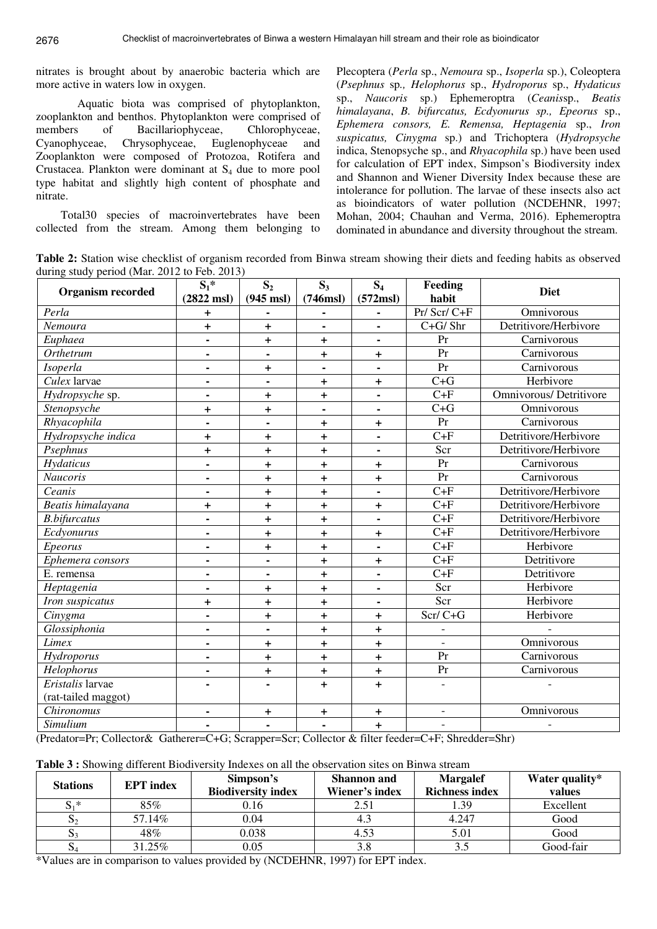nitrates is brought about by anaerobic bacteria which are more active in waters low in oxygen.

 Aquatic biota was comprised of phytoplankton, zooplankton and benthos. Phytoplankton were comprised of members of Bacillariophyceae, Chlorophyceae, Cyanophyceae, Chrysophyceae, Euglenophyceae and Zooplankton were composed of Protozoa, Rotifera and Crustacea. Plankton were dominant at  $S_4$  due to more pool type habitat and slightly high content of phosphate and nitrate.

Total30 species of macroinvertebrates have been collected from the stream. Among them belonging to

Plecoptera (*Perla* sp., *Nemoura* sp., *Isoperla* sp.), Coleoptera (*Psephnus* sp*., Helophorus* sp., *Hydroporus* sp., *Hydaticus* sp., *Naucoris* sp.) Ephemeroptra (*Ceanis*sp., *Beatis himalayana*, *B. bifurcatus, Ecdyonurus sp., Epeorus* sp., *Ephemera consors, E. Remensa, Heptagenia* sp., *Iron suspicatus, Cinygma* sp.) and Trichoptera (*Hydropsyche* indica, Stenopsyche sp., and *Rhyacophila* sp.) have been used for calculation of EPT index, Simpson's Biodiversity index and Shannon and Wiener Diversity Index because these are intolerance for pollution. The larvae of these insects also act as bioindicators of water pollution (NCDEHNR, 1997; Mohan, 2004; Chauhan and Verma, 2016). Ephemeroptra dominated in abundance and diversity throughout the stream.

**Table 2:** Station wise checklist of organism recorded from Binwa stream showing their diets and feeding habits as observed during study period (Mar. 2012 to Feb. 2013)

| <b>Organism recorded</b>  | $S_1^*$<br>S <sub>2</sub>    |                                  | $S_3$<br>$S_4$ |                | Feeding                  | <b>Diet</b>                    |  |
|---------------------------|------------------------------|----------------------------------|----------------|----------------|--------------------------|--------------------------------|--|
|                           | $(2822 \text{ msl})$         | $(945$ msl)                      | (746ms)        | $(572$ msl $)$ | habit                    |                                |  |
| Perla                     | $+$                          |                                  |                |                | Pr/ Scr/ C+F             | Omnivorous                     |  |
| Nemoura                   | $\pm$                        | $+$                              | $\blacksquare$ |                | $C+G/$ Shr               | Detritivore/Herbivore          |  |
| Euphaea                   | ä,                           | $\begin{array}{c} + \end{array}$ | $\ddot{}$      | $\blacksquare$ | Pr                       | Carnivorous                    |  |
| Orthetrum                 | $\blacksquare$               | $\blacksquare$                   | $\ddot{}$      | $\ddot{}$      | Pr                       | Carnivorous                    |  |
| Isoperla                  | $\blacksquare$               | $+$                              | $\blacksquare$ | $\blacksquare$ | Pr                       | Carnivorous                    |  |
| $\overline{Culex}$ larvae | $\blacksquare$               | $\blacksquare$                   | $\ddagger$     | $\ddagger$     | $C + G$                  | Herbivore                      |  |
| Hydropsyche sp.           |                              | $+$                              | $\ddot{}$      |                | $C + F$                  | <b>Omnivorous/ Detritivore</b> |  |
| Stenopsyche               | $\ddot{}$                    | $+$                              | $\blacksquare$ | $\blacksquare$ | $C + G$                  | Omnivorous                     |  |
| Rhyacophila               |                              |                                  | $\pm$          | $\pm$          | Pr                       | Carnivorous                    |  |
| Hydropsyche indica        | $\ddot{}$                    | $+$                              | $\ddot{}$      | $\blacksquare$ | $\overline{C+F}$         | Detritivore/Herbivore          |  |
| Psephnus                  | $\ddot{}$                    | $+$                              | $\ddot{}$      | $\blacksquare$ | Scr                      | Detritivore/Herbivore          |  |
| Hydaticus                 | $\blacksquare$               | $\ddot{}$                        | $\ddot{}$      | <sup>+</sup>   | Pr                       | Carnivorous                    |  |
| <b>Naucoris</b>           |                              | $+$                              | $\ddot{}$      | $\ddot{}$      | $\overline{Pr}$          | Carnivorous                    |  |
| Ceanis                    | $\blacksquare$               | $+$                              | $\ddot{}$      | $\blacksquare$ | $C + F$                  | Detritivore/Herbivore          |  |
| Beatis himalayana         | $\ddot{}$                    | $\ddot{}$                        | $\ddot{}$      | $\ddot{}$      | $C + F$                  | Detritivore/Herbivore          |  |
| <b>B.bifurcatus</b>       | $\blacksquare$               | $+$                              | $\ddot{}$      |                | $C + F$                  | Detritivore/Herbivore          |  |
| Ecdyonurus                | $\blacksquare$               | $+$                              | $\ddot{}$      | <sup>+</sup>   | $\overline{C+F}$         | Detritivore/Herbivore          |  |
| Epeorus                   | ä,                           | $+$                              | $\ddot{}$      | $\blacksquare$ | $C + F$                  | Herbivore                      |  |
| Ephemera consors          | ۰                            | $\blacksquare$                   | $+$            | $\ddot{}$      | $C+F$                    | Detritivore                    |  |
| E. remensa                |                              |                                  | $\ddot{}$      | $\blacksquare$ | $\overline{C+F}$         | Detritivore                    |  |
| Heptagenia                | $\blacksquare$               | $+$                              | $\ddot{}$      | $\blacksquare$ | Scr                      | Herbivore                      |  |
| Iron suspicatus           | $\ddot{}$                    | $+$                              | $\ddot{}$      |                | Scr                      | Herbivore                      |  |
| Cinygma                   | $\blacksquare$               | $\ddot{}$                        | $\ddot{}$      | $\ddot{}$      | $Scr/C+G$                | Herbivore                      |  |
| Glossiphonia              | $\blacksquare$               | $\blacksquare$                   | $\ddot{}$      | $\ddot{}$      | $\qquad \qquad -$        |                                |  |
| Limex                     | ۰                            | $\ddot{}$                        | $\ddot{}$      | $\ddot{}$      | $\overline{a}$           | Omnivorous                     |  |
| Hydroporus                | ۰                            | $\ddot{}$                        | $\ddot{}$      | $\ddot{}$      | Pr                       | Carnivorous                    |  |
| Helophorus                | $\blacksquare$               | $\ddot{}$                        | $\ddot{}$      | $\ddot{}$      | Pr                       | Carnivorous                    |  |
| Eristalis larvae          |                              |                                  | $\pm$          | $\ddot{}$      |                          |                                |  |
| (rat-tailed maggot)       |                              |                                  |                |                |                          |                                |  |
| Chironomus                | $\qquad \qquad \blacksquare$ | $\ddot{}$                        | +              | +              | $\qquad \qquad -$        | Omnivorous                     |  |
| Simulium                  |                              |                                  | $\blacksquare$ | $\pm$          | $\overline{\phantom{a}}$ |                                |  |

(Predator=Pr; Collector& Gatherer=C+G; Scrapper=Scr; Collector & filter feeder=C+F; Shredder=Shr)

|  | Table 3 : Showing different Biodiversity Indexes on all the observation sites on Binwa stream |  |  |
|--|-----------------------------------------------------------------------------------------------|--|--|
|--|-----------------------------------------------------------------------------------------------|--|--|

| <b>Stations</b> | <b>EPT</b> index | Simpson's<br><b>Biodiversity index</b> | <b>Shannon</b> and<br>Wiener's index | <b>Margalef</b><br><b>Richness index</b> | Water quality*<br>values |  |
|-----------------|------------------|----------------------------------------|--------------------------------------|------------------------------------------|--------------------------|--|
| $S_1^*$         | 85%              | 0.16                                   | 2.51                                 | 1.39                                     | Excellent                |  |
| cG              | 57.14%           | 0.04                                   | 4.3                                  | 4.247                                    | Good                     |  |
| $S_3$           | 48%              | 0.038                                  | 4.53                                 | 5.01                                     | Good                     |  |
| $\mathbf{D}$    | 31.25%           | 0.05                                   | 3.8                                  | 3.5                                      | Good-fair                |  |

\*Values are in comparison to values provided by (NCDEHNR, 1997) for EPT index.